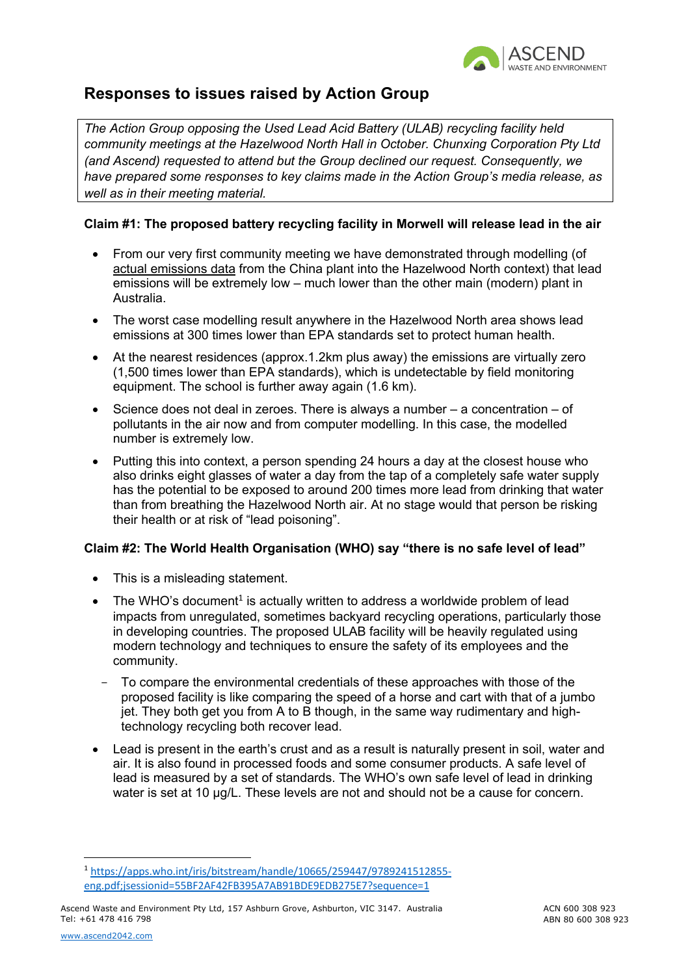

# **Responses to issues raised by Action Group**

*The Action Group opposing the Used Lead Acid Battery (ULAB) recycling facility held community meetings at the Hazelwood North Hall in October. Chunxing Corporation Pty Ltd (and Ascend) requested to attend but the Group declined our request. Consequently, we have prepared some responses to key claims made in the Action Group's media release, as well as in their meeting material.*

# **Claim #1: The proposed battery recycling facility in Morwell will release lead in the air**

- From our very first community meeting we have demonstrated through modelling (of actual emissions data from the China plant into the Hazelwood North context) that lead emissions will be extremely low – much lower than the other main (modern) plant in Australia.
- The worst case modelling result anywhere in the Hazelwood North area shows lead emissions at 300 times lower than EPA standards set to protect human health.
- At the nearest residences (approx.1.2km plus away) the emissions are virtually zero (1,500 times lower than EPA standards), which is undetectable by field monitoring equipment. The school is further away again (1.6 km).
- Science does not deal in zeroes. There is always a number  $-$  a concentration  $-$  of pollutants in the air now and from computer modelling. In this case, the modelled number is extremely low.
- Putting this into context, a person spending 24 hours a day at the closest house who also drinks eight glasses of water a day from the tap of a completely safe water supply has the potential to be exposed to around 200 times more lead from drinking that water than from breathing the Hazelwood North air. At no stage would that person be risking their health or at risk of "lead poisoning".

# **Claim #2: The World Health Organisation (WHO) say "there is no safe level of lead"**

- This is a misleading statement.
- The WHO's document<sup>1</sup> is actually written to address a worldwide problem of lead impacts from unregulated, sometimes backyard recycling operations, particularly those in developing countries. The proposed ULAB facility will be heavily regulated using modern technology and techniques to ensure the safety of its employees and the community.
- To compare the environmental credentials of these approaches with those of the proposed facility is like comparing the speed of a horse and cart with that of a jumbo jet. They both get you from A to B though, in the same way rudimentary and hightechnology recycling both recover lead.
- Lead is present in the earth's crust and as a result is naturally present in soil, water and air. It is also found in processed foods and some consumer products. A safe level of lead is measured by a set of standards. The WHO's own safe level of lead in drinking water is set at 10 μg/L. These levels are not and should not be a cause for concern.

<sup>1</sup> https://apps.who.int/iris/bitstream/handle/10665/259447/9789241512855 eng.pdf;jsessionid=55BF2AF42FB395A7AB91BDE9EDB275E7?sequence=1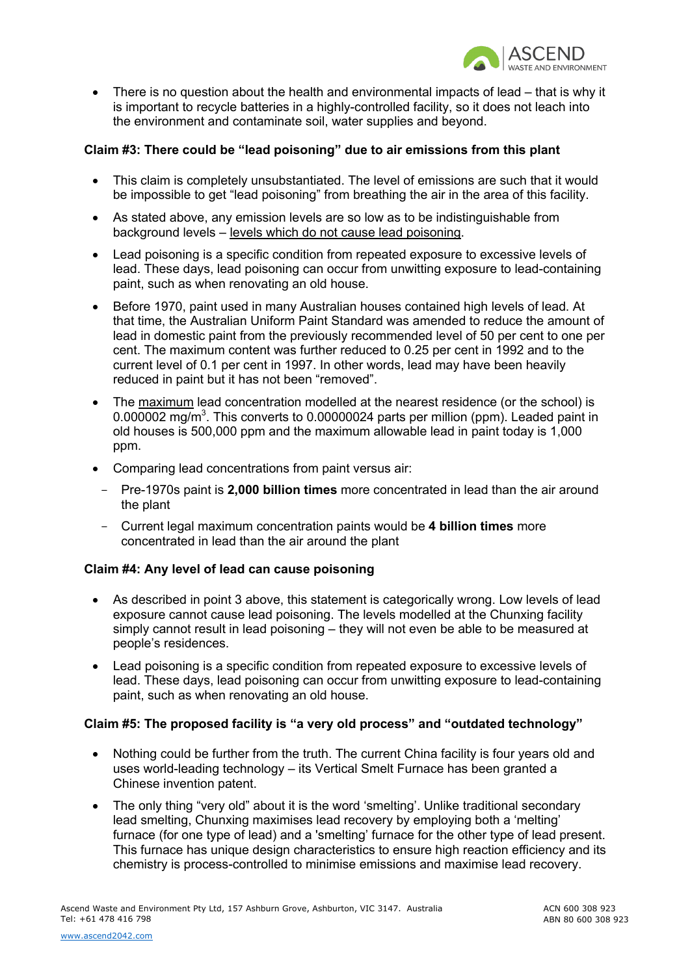

• There is no question about the health and environmental impacts of lead – that is why it is important to recycle batteries in a highly-controlled facility, so it does not leach into the environment and contaminate soil, water supplies and beyond.

# **Claim #3: There could be "lead poisoning" due to air emissions from this plant**

- This claim is completely unsubstantiated. The level of emissions are such that it would be impossible to get "lead poisoning" from breathing the air in the area of this facility.
- As stated above, any emission levels are so low as to be indistinguishable from background levels – levels which do not cause lead poisoning.
- Lead poisoning is a specific condition from repeated exposure to excessive levels of lead. These days, lead poisoning can occur from unwitting exposure to lead-containing paint, such as when renovating an old house.
- Before 1970, paint used in many Australian houses contained high levels of lead. At that time, the Australian Uniform Paint Standard was amended to reduce the amount of lead in domestic paint from the previously recommended level of 50 per cent to one per cent. The maximum content was further reduced to 0.25 per cent in 1992 and to the current level of 0.1 per cent in 1997. In other words, lead may have been heavily reduced in paint but it has not been "removed".
- The maximum lead concentration modelled at the nearest residence (or the school) is 0.000002 mg/m<sup>3</sup>. This converts to 0.00000024 parts per million (ppm). Leaded paint in old houses is 500,000 ppm and the maximum allowable lead in paint today is 1,000 ppm.
- Comparing lead concentrations from paint versus air:
	- Pre-1970s paint is **2,000 billion times** more concentrated in lead than the air around the plant
	- Current legal maximum concentration paints would be **4 billion times** more concentrated in lead than the air around the plant

#### **Claim #4: Any level of lead can cause poisoning**

- As described in point 3 above, this statement is categorically wrong. Low levels of lead exposure cannot cause lead poisoning. The levels modelled at the Chunxing facility simply cannot result in lead poisoning – they will not even be able to be measured at people's residences.
- Lead poisoning is a specific condition from repeated exposure to excessive levels of lead. These days, lead poisoning can occur from unwitting exposure to lead-containing paint, such as when renovating an old house.

#### **Claim #5: The proposed facility is "a very old process" and "outdated technology"**

- Nothing could be further from the truth. The current China facility is four years old and uses world-leading technology – its Vertical Smelt Furnace has been granted a Chinese invention patent.
- The only thing "very old" about it is the word 'smelting'. Unlike traditional secondary lead smelting, Chunxing maximises lead recovery by employing both a 'melting' furnace (for one type of lead) and a 'smelting' furnace for the other type of lead present. This furnace has unique design characteristics to ensure high reaction efficiency and its chemistry is process-controlled to minimise emissions and maximise lead recovery.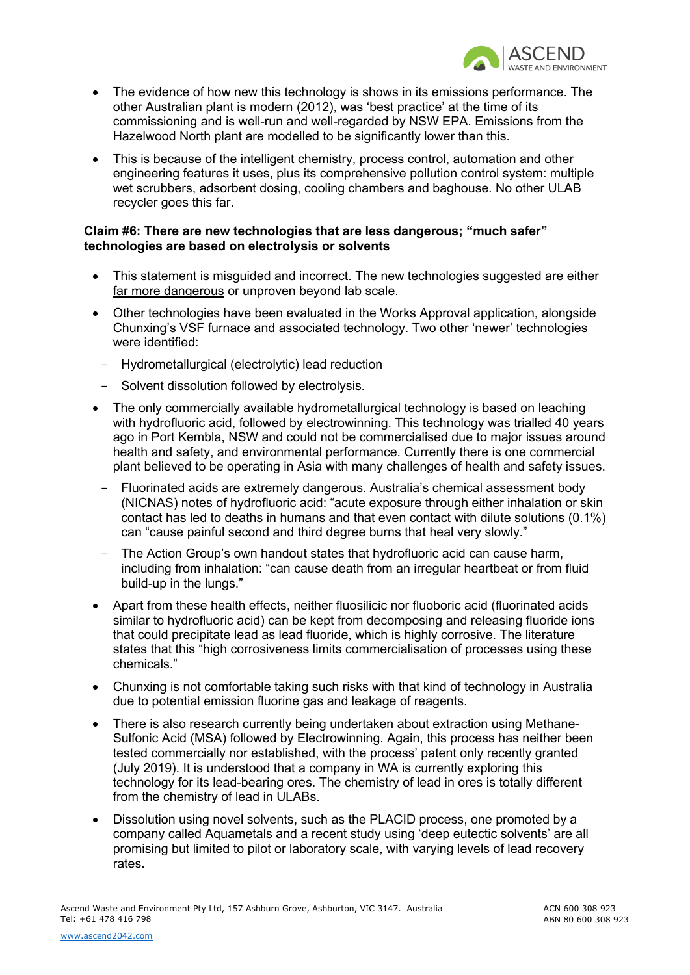

- The evidence of how new this technology is shows in its emissions performance. The other Australian plant is modern (2012), was 'best practice' at the time of its commissioning and is well-run and well-regarded by NSW EPA. Emissions from the Hazelwood North plant are modelled to be significantly lower than this.
- This is because of the intelligent chemistry, process control, automation and other engineering features it uses, plus its comprehensive pollution control system: multiple wet scrubbers, adsorbent dosing, cooling chambers and baghouse. No other ULAB recycler goes this far.

#### **Claim #6: There are new technologies that are less dangerous; "much safer" technologies are based on electrolysis or solvents**

- This statement is misquided and incorrect. The new technologies suggested are either far more dangerous or unproven beyond lab scale.
- Other technologies have been evaluated in the Works Approval application, alongside Chunxing's VSF furnace and associated technology. Two other 'newer' technologies were identified:
	- Hydrometallurgical (electrolytic) lead reduction
	- Solvent dissolution followed by electrolysis.
- The only commercially available hydrometallurgical technology is based on leaching with hydrofluoric acid, followed by electrowinning. This technology was trialled 40 years ago in Port Kembla, NSW and could not be commercialised due to major issues around health and safety, and environmental performance. Currently there is one commercial plant believed to be operating in Asia with many challenges of health and safety issues.
	- Fluorinated acids are extremely dangerous. Australia's chemical assessment body (NICNAS) notes of hydrofluoric acid: "acute exposure through either inhalation or skin contact has led to deaths in humans and that even contact with dilute solutions (0.1%) can "cause painful second and third degree burns that heal very slowly."
	- The Action Group's own handout states that hydrofluoric acid can cause harm, including from inhalation: "can cause death from an irregular heartbeat or from fluid build-up in the lungs."
- Apart from these health effects, neither fluosilicic nor fluoboric acid (fluorinated acids similar to hydrofluoric acid) can be kept from decomposing and releasing fluoride ions that could precipitate lead as lead fluoride, which is highly corrosive. The literature states that this "high corrosiveness limits commercialisation of processes using these chemicals."
- Chunxing is not comfortable taking such risks with that kind of technology in Australia due to potential emission fluorine gas and leakage of reagents.
- There is also research currently being undertaken about extraction using Methane-Sulfonic Acid (MSA) followed by Electrowinning. Again, this process has neither been tested commercially nor established, with the process' patent only recently granted (July 2019). It is understood that a company in WA is currently exploring this technology for its lead-bearing ores. The chemistry of lead in ores is totally different from the chemistry of lead in ULABs.
- Dissolution using novel solvents, such as the PLACID process, one promoted by a company called Aquametals and a recent study using 'deep eutectic solvents' are all promising but limited to pilot or laboratory scale, with varying levels of lead recovery rates.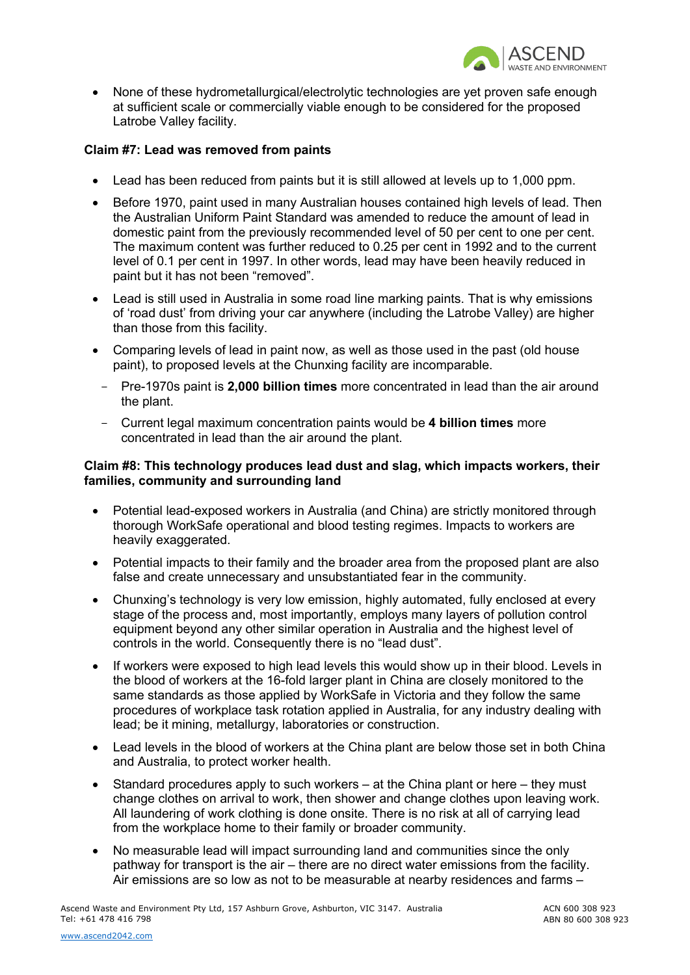

• None of these hydrometallurgical/electrolytic technologies are yet proven safe enough at sufficient scale or commercially viable enough to be considered for the proposed Latrobe Valley facility.

#### **Claim #7: Lead was removed from paints**

- Lead has been reduced from paints but it is still allowed at levels up to 1,000 ppm.
- Before 1970, paint used in many Australian houses contained high levels of lead. Then the Australian Uniform Paint Standard was amended to reduce the amount of lead in domestic paint from the previously recommended level of 50 per cent to one per cent. The maximum content was further reduced to 0.25 per cent in 1992 and to the current level of 0.1 per cent in 1997. In other words, lead may have been heavily reduced in paint but it has not been "removed".
- Lead is still used in Australia in some road line marking paints. That is why emissions of 'road dust' from driving your car anywhere (including the Latrobe Valley) are higher than those from this facility.
- Comparing levels of lead in paint now, as well as those used in the past (old house paint), to proposed levels at the Chunxing facility are incomparable.
	- Pre-1970s paint is **2,000 billion times** more concentrated in lead than the air around the plant.
	- Current legal maximum concentration paints would be **4 billion times** more concentrated in lead than the air around the plant.

#### **Claim #8: This technology produces lead dust and slag, which impacts workers, their families, community and surrounding land**

- Potential lead-exposed workers in Australia (and China) are strictly monitored through thorough WorkSafe operational and blood testing regimes. Impacts to workers are heavily exaggerated.
- Potential impacts to their family and the broader area from the proposed plant are also false and create unnecessary and unsubstantiated fear in the community.
- Chunxing's technology is very low emission, highly automated, fully enclosed at every stage of the process and, most importantly, employs many layers of pollution control equipment beyond any other similar operation in Australia and the highest level of controls in the world. Consequently there is no "lead dust".
- If workers were exposed to high lead levels this would show up in their blood. Levels in the blood of workers at the 16-fold larger plant in China are closely monitored to the same standards as those applied by WorkSafe in Victoria and they follow the same procedures of workplace task rotation applied in Australia, for any industry dealing with lead; be it mining, metallurgy, laboratories or construction.
- Lead levels in the blood of workers at the China plant are below those set in both China and Australia, to protect worker health.
- Standard procedures apply to such workers at the China plant or here they must change clothes on arrival to work, then shower and change clothes upon leaving work. All laundering of work clothing is done onsite. There is no risk at all of carrying lead from the workplace home to their family or broader community.
- No measurable lead will impact surrounding land and communities since the only pathway for transport is the air – there are no direct water emissions from the facility. Air emissions are so low as not to be measurable at nearby residences and farms –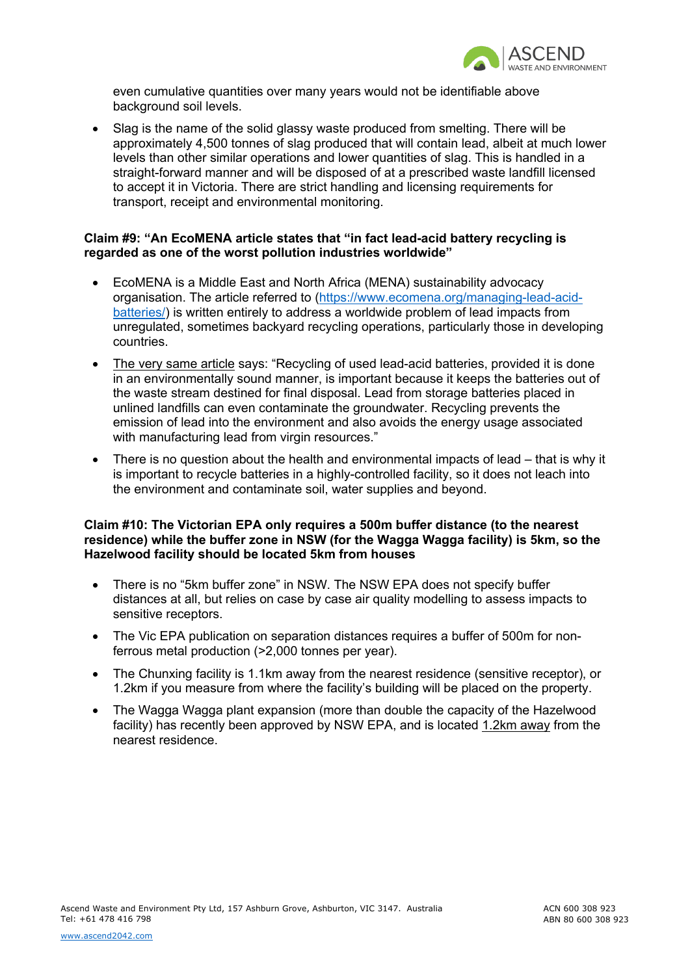

even cumulative quantities over many years would not be identifiable above background soil levels.

• Slag is the name of the solid glassy waste produced from smelting. There will be approximately 4,500 tonnes of slag produced that will contain lead, albeit at much lower levels than other similar operations and lower quantities of slag. This is handled in a straight-forward manner and will be disposed of at a prescribed waste landfill licensed to accept it in Victoria. There are strict handling and licensing requirements for transport, receipt and environmental monitoring.

# **Claim #9: "An EcoMENA article states that "in fact lead-acid battery recycling is regarded as one of the worst pollution industries worldwide"**

- EcoMENA is a Middle East and North Africa (MENA) sustainability advocacy organisation. The article referred to (https://www.ecomena.org/managing-lead-acidbatteries/) is written entirely to address a worldwide problem of lead impacts from unregulated, sometimes backyard recycling operations, particularly those in developing countries.
- The very same article says: "Recycling of used lead-acid batteries, provided it is done in an environmentally sound manner, is important because it keeps the batteries out of the waste stream destined for final disposal. Lead from storage batteries placed in unlined landfills can even contaminate the groundwater. Recycling prevents the emission of lead into the environment and also avoids the energy usage associated with manufacturing lead from virgin resources."
- There is no question about the health and environmental impacts of lead that is why it is important to recycle batteries in a highly-controlled facility, so it does not leach into the environment and contaminate soil, water supplies and beyond.

# **Claim #10: The Victorian EPA only requires a 500m buffer distance (to the nearest residence) while the buffer zone in NSW (for the Wagga Wagga facility) is 5km, so the Hazelwood facility should be located 5km from houses**

- There is no "5km buffer zone" in NSW. The NSW EPA does not specify buffer distances at all, but relies on case by case air quality modelling to assess impacts to sensitive receptors.
- The Vic EPA publication on separation distances requires a buffer of 500m for nonferrous metal production (>2,000 tonnes per year).
- The Chunxing facility is 1.1km away from the nearest residence (sensitive receptor), or 1.2km if you measure from where the facility's building will be placed on the property.
- The Wagga Wagga plant expansion (more than double the capacity of the Hazelwood facility) has recently been approved by NSW EPA, and is located 1.2km away from the nearest residence.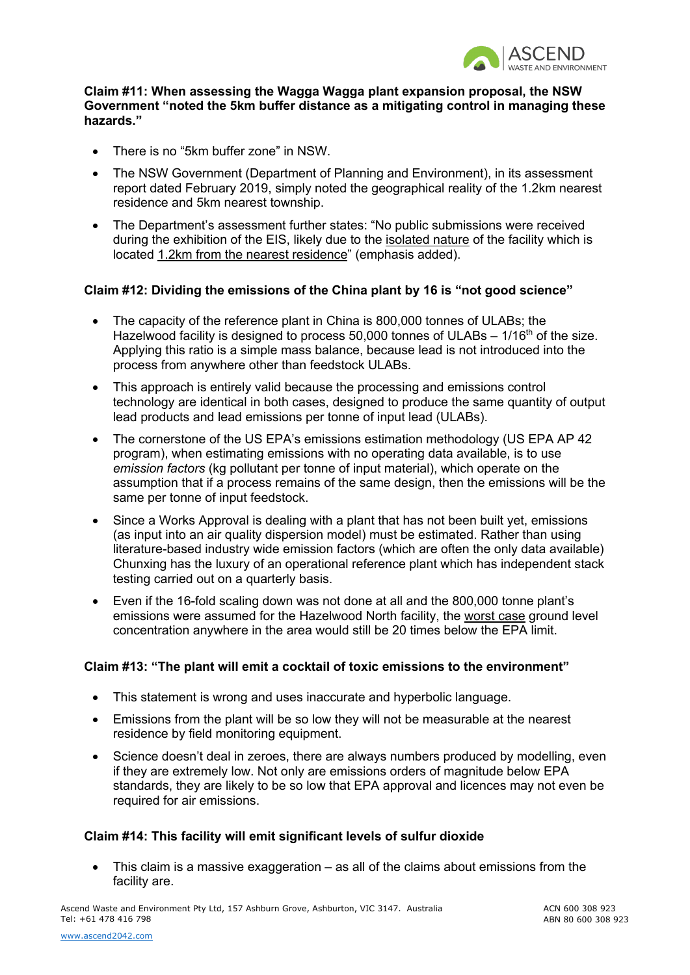

#### **Claim #11: When assessing the Wagga Wagga plant expansion proposal, the NSW Government "noted the 5km buffer distance as a mitigating control in managing these hazards."**

- There is no "5km buffer zone" in NSW.
- The NSW Government (Department of Planning and Environment), in its assessment report dated February 2019, simply noted the geographical reality of the 1.2km nearest residence and 5km nearest township.
- The Department's assessment further states: "No public submissions were received during the exhibition of the EIS, likely due to the isolated nature of the facility which is located 1.2km from the nearest residence" (emphasis added).

#### **Claim #12: Dividing the emissions of the China plant by 16 is "not good science"**

- The capacity of the reference plant in China is 800,000 tonnes of ULABs; the Hazelwood facility is designed to process 50,000 tonnes of ULABs  $-1/16<sup>th</sup>$  of the size. Applying this ratio is a simple mass balance, because lead is not introduced into the process from anywhere other than feedstock ULABs.
- This approach is entirely valid because the processing and emissions control technology are identical in both cases, designed to produce the same quantity of output lead products and lead emissions per tonne of input lead (ULABs).
- The cornerstone of the US EPA's emissions estimation methodology (US EPA AP 42 program), when estimating emissions with no operating data available, is to use *emission factors* (kg pollutant per tonne of input material), which operate on the assumption that if a process remains of the same design, then the emissions will be the same per tonne of input feedstock.
- Since a Works Approval is dealing with a plant that has not been built yet, emissions (as input into an air quality dispersion model) must be estimated. Rather than using literature-based industry wide emission factors (which are often the only data available) Chunxing has the luxury of an operational reference plant which has independent stack testing carried out on a quarterly basis.
- Even if the 16-fold scaling down was not done at all and the 800,000 tonne plant's emissions were assumed for the Hazelwood North facility, the worst case ground level concentration anywhere in the area would still be 20 times below the EPA limit.

# **Claim #13: "The plant will emit a cocktail of toxic emissions to the environment"**

- This statement is wrong and uses inaccurate and hyperbolic language.
- Emissions from the plant will be so low they will not be measurable at the nearest residence by field monitoring equipment.
- Science doesn't deal in zeroes, there are always numbers produced by modelling, even if they are extremely low. Not only are emissions orders of magnitude below EPA standards, they are likely to be so low that EPA approval and licences may not even be required for air emissions.

# **Claim #14: This facility will emit significant levels of sulfur dioxide**

• This claim is a massive exaggeration – as all of the claims about emissions from the facility are.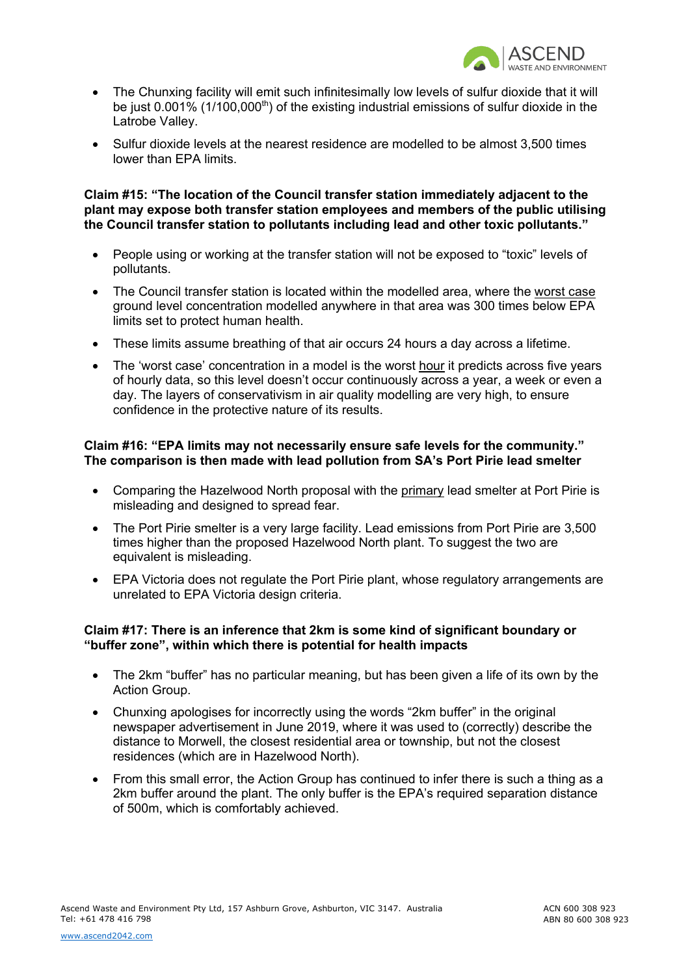

- The Chunxing facility will emit such infinitesimally low levels of sulfur dioxide that it will be just  $0.001\%$  (1/100,000<sup>th</sup>) of the existing industrial emissions of sulfur dioxide in the Latrobe Valley.
- Sulfur dioxide levels at the nearest residence are modelled to be almost 3,500 times lower than EPA limits.

**Claim #15: "The location of the Council transfer station immediately adjacent to the plant may expose both transfer station employees and members of the public utilising the Council transfer station to pollutants including lead and other toxic pollutants."**

- People using or working at the transfer station will not be exposed to "toxic" levels of pollutants.
- The Council transfer station is located within the modelled area, where the worst case ground level concentration modelled anywhere in that area was 300 times below EPA limits set to protect human health.
- These limits assume breathing of that air occurs 24 hours a day across a lifetime.
- The 'worst case' concentration in a model is the worst hour it predicts across five years of hourly data, so this level doesn't occur continuously across a year, a week or even a day. The layers of conservativism in air quality modelling are very high, to ensure confidence in the protective nature of its results.

# **Claim #16: "EPA limits may not necessarily ensure safe levels for the community." The comparison is then made with lead pollution from SA's Port Pirie lead smelter**

- Comparing the Hazelwood North proposal with the primary lead smelter at Port Pirie is misleading and designed to spread fear.
- The Port Pirie smelter is a very large facility. Lead emissions from Port Pirie are 3,500 times higher than the proposed Hazelwood North plant. To suggest the two are equivalent is misleading.
- EPA Victoria does not regulate the Port Pirie plant, whose regulatory arrangements are unrelated to EPA Victoria design criteria.

#### **Claim #17: There is an inference that 2km is some kind of significant boundary or "buffer zone", within which there is potential for health impacts**

- The 2km "buffer" has no particular meaning, but has been given a life of its own by the Action Group.
- Chunxing apologises for incorrectly using the words "2km buffer" in the original newspaper advertisement in June 2019, where it was used to (correctly) describe the distance to Morwell, the closest residential area or township, but not the closest residences (which are in Hazelwood North).
- From this small error, the Action Group has continued to infer there is such a thing as a 2km buffer around the plant. The only buffer is the EPA's required separation distance of 500m, which is comfortably achieved.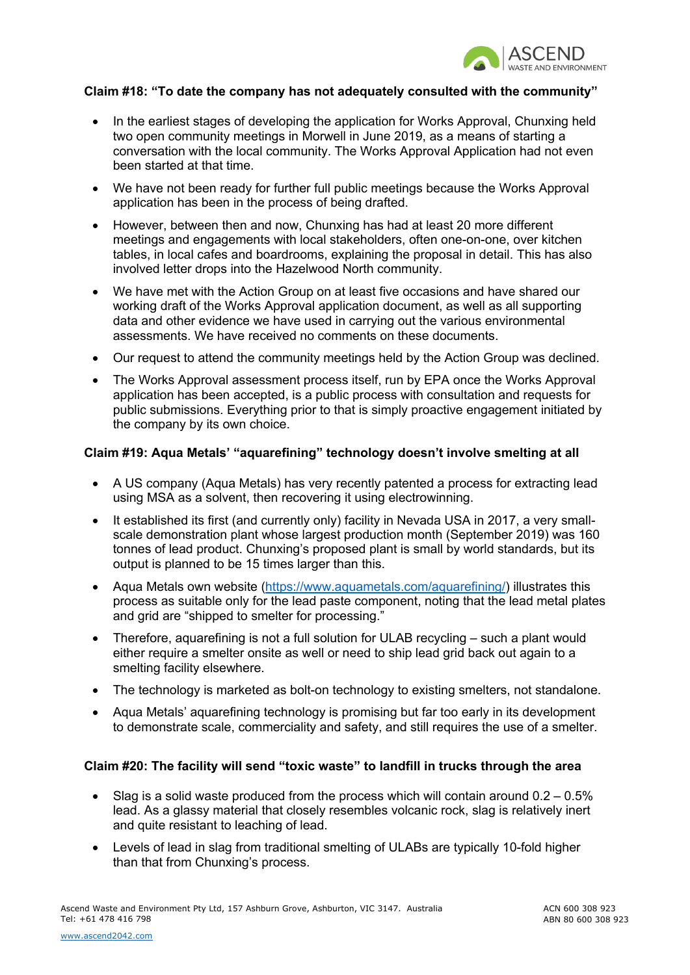

#### **Claim #18: "To date the company has not adequately consulted with the community"**

- In the earliest stages of developing the application for Works Approval, Chunxing held two open community meetings in Morwell in June 2019, as a means of starting a conversation with the local community. The Works Approval Application had not even been started at that time.
- We have not been ready for further full public meetings because the Works Approval application has been in the process of being drafted.
- However, between then and now, Chunxing has had at least 20 more different meetings and engagements with local stakeholders, often one-on-one, over kitchen tables, in local cafes and boardrooms, explaining the proposal in detail. This has also involved letter drops into the Hazelwood North community.
- We have met with the Action Group on at least five occasions and have shared our working draft of the Works Approval application document, as well as all supporting data and other evidence we have used in carrying out the various environmental assessments. We have received no comments on these documents.
- Our request to attend the community meetings held by the Action Group was declined.
- The Works Approval assessment process itself, run by EPA once the Works Approval application has been accepted, is a public process with consultation and requests for public submissions. Everything prior to that is simply proactive engagement initiated by the company by its own choice.

#### **Claim #19: Aqua Metals' "aquarefining" technology doesn't involve smelting at all**

- A US company (Aqua Metals) has very recently patented a process for extracting lead using MSA as a solvent, then recovering it using electrowinning.
- It established its first (and currently only) facility in Nevada USA in 2017, a very smallscale demonstration plant whose largest production month (September 2019) was 160 tonnes of lead product. Chunxing's proposed plant is small by world standards, but its output is planned to be 15 times larger than this.
- Aqua Metals own website (https://www.aquametals.com/aquarefining/) illustrates this process as suitable only for the lead paste component, noting that the lead metal plates and grid are "shipped to smelter for processing."
- Therefore, aquarefining is not a full solution for ULAB recycling such a plant would either require a smelter onsite as well or need to ship lead grid back out again to a smelting facility elsewhere.
- The technology is marketed as bolt-on technology to existing smelters, not standalone.
- Aqua Metals' aquarefining technology is promising but far too early in its development to demonstrate scale, commerciality and safety, and still requires the use of a smelter.

# **Claim #20: The facility will send "toxic waste" to landfill in trucks through the area**

- Slag is a solid waste produced from the process which will contain around  $0.2 0.5\%$ lead. As a glassy material that closely resembles volcanic rock, slag is relatively inert and quite resistant to leaching of lead.
- Levels of lead in slag from traditional smelting of ULABs are typically 10-fold higher than that from Chunxing's process.

ACN 600 308 923